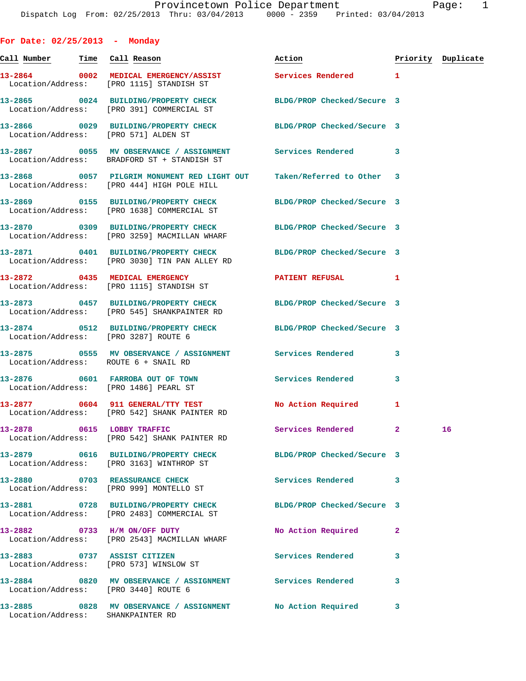**For Date: 02/25/2013 - Monday Call Number Time Call Reason Action Priority Duplicate 13-2864 0002 MEDICAL EMERGENCY/ASSIST Services Rendered 1**  Location/Address: [PRO 1115] STANDISH ST **13-2865 0024 BUILDING/PROPERTY CHECK BLDG/PROP Checked/Secure 3**  Location/Address: [PRO 391] COMMERCIAL ST **13-2866 0029 BUILDING/PROPERTY CHECK BLDG/PROP Checked/Secure 3**  Location/Address: [PRO 571] ALDEN ST **13-2867 0055 MV OBSERVANCE / ASSIGNMENT Services Rendered 3**  Location/Address: BRADFORD ST + STANDISH ST **13-2868 0057 PILGRIM MONUMENT RED LIGHT OUT Taken/Referred to Other 3**  Location/Address: [PRO 444] HIGH POLE HILL **13-2869 0155 BUILDING/PROPERTY CHECK BLDG/PROP Checked/Secure 3**  Location/Address: [PRO 1638] COMMERCIAL ST **13-2870 0309 BUILDING/PROPERTY CHECK BLDG/PROP Checked/Secure 3**  Location/Address: [PRO 3259] MACMILLAN WHARF **13-2871 0401 BUILDING/PROPERTY CHECK BLDG/PROP Checked/Secure 3**  Location/Address: [PRO 3030] TIN PAN ALLEY RD 13-2872 0435 MEDICAL EMERGENCY PATIENT REFUSAL 1 Location/Address: [PRO 1115] STANDISH ST **13-2873 0457 BUILDING/PROPERTY CHECK BLDG/PROP Checked/Secure 3**  Location/Address: [PRO 545] SHANKPAINTER RD **13-2874 0512 BUILDING/PROPERTY CHECK BLDG/PROP Checked/Secure 3**  Location/Address: [PRO 3287] ROUTE 6 **13-2875 0555 MV OBSERVANCE / ASSIGNMENT Services Rendered 3**  Location/Address: ROUTE 6 + SNAIL RD **13-2876 0601 FARROBA OUT OF TOWN Services Rendered 3**  Location/Address: [PRO 1486] PEARL ST 13-2877 0604 911 GENERAL/TTY TEST No Action Required 1 Location/Address: [PRO 542] SHANK PAINTER RD **13-2878 0615 LOBBY TRAFFIC Services Rendered 2 16**  Location/Address: [PRO 542] SHANK PAINTER RD **13-2879 0616 BUILDING/PROPERTY CHECK BLDG/PROP Checked/Secure 3**  Location/Address: [PRO 3163] WINTHROP ST **13-2880 0703 REASSURANCE CHECK Services Rendered 3**  Location/Address: [PRO 999] MONTELLO ST **13-2881 0728 BUILDING/PROPERTY CHECK BLDG/PROP Checked/Secure 3**  Location/Address: [PRO 2483] COMMERCIAL ST **13-2882 0733 H/M ON/OFF DUTY No Action Required 2**  Location/Address: [PRO 2543] MACMILLAN WHARF **13-2883 0737 ASSIST CITIZEN Services Rendered 3**  Location/Address: [PRO 573] WINSLOW ST **13-2884 0820 MV OBSERVANCE / ASSIGNMENT Services Rendered 3**  Location/Address: [PRO 3440] ROUTE 6

**13-2885 0828 MV OBSERVANCE / ASSIGNMENT No Action Required 3**  Location/Address: SHANKPAINTER RD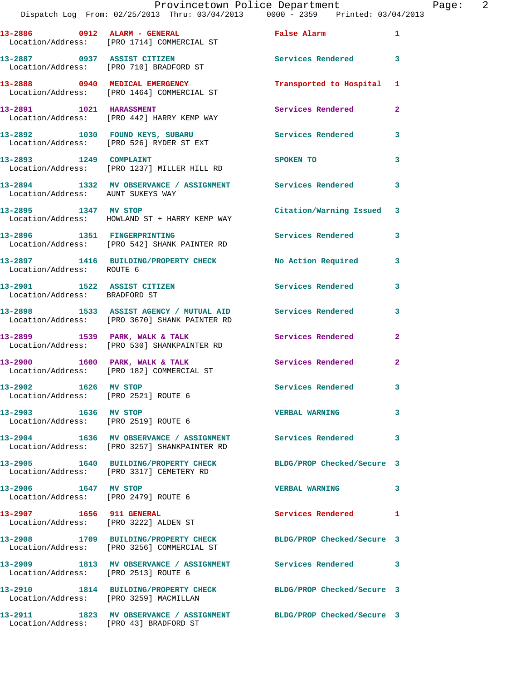|                                                                   | Provincetown Police Department<br>Dispatch Log From: 02/25/2013 Thru: 03/04/2013 0000 - 2359 Printed: 03/04/2013 |                            |                |
|-------------------------------------------------------------------|------------------------------------------------------------------------------------------------------------------|----------------------------|----------------|
|                                                                   | 13-2886 0912 ALARM - GENERAL<br>Location/Address: [PRO 1714] COMMERCIAL ST                                       | False Alarm                | $\mathbf{1}$   |
|                                                                   | 13-2887 0937 ASSIST CITIZEN<br>Location/Address: [PRO 710] BRADFORD ST                                           | Services Rendered          | 3              |
|                                                                   | 13-2888 0940 MEDICAL EMERGENCY<br>Location/Address: [PRO 1464] COMMERCIAL ST                                     | Transported to Hospital    | 1              |
| 13-2891 1021 HARASSMENT                                           | Location/Address: [PRO 442] HARRY KEMP WAY                                                                       | Services Rendered          | $\overline{a}$ |
|                                                                   | 13-2892 1030 FOUND KEYS, SUBARU Services Rendered<br>Location/Address: [PRO 526] RYDER ST EXT                    |                            | 3              |
| 13-2893 1249 COMPLAINT                                            | Location/Address: [PRO 1237] MILLER HILL RD                                                                      | SPOKEN TO                  | 3              |
| Location/Address: AUNT SUKEYS WAY                                 | 13-2894 1332 MV OBSERVANCE / ASSIGNMENT Services Rendered                                                        |                            | 3              |
| 13-2895 1347 MV STOP                                              | Location/Address: HOWLAND ST + HARRY KEMP WAY                                                                    | Citation/Warning Issued    | 3              |
|                                                                   | 13-2896 1351 FINGERPRINTING<br>Location/Address: [PRO 542] SHANK PAINTER RD                                      | Services Rendered          | 3              |
| Location/Address: ROUTE 6                                         | 13-2897 1416 BUILDING/PROPERTY CHECK                                                                             | No Action Required         | 3              |
| 13-2901 1522 ASSIST CITIZEN<br>Location/Address: BRADFORD ST      |                                                                                                                  | <b>Services Rendered</b>   | 3              |
|                                                                   | 13-2898 1533 ASSIST AGENCY / MUTUAL AID Services Rendered<br>Location/Address: [PRO 3670] SHANK PAINTER RD       |                            | 3              |
|                                                                   | 13-2899 1539 PARK, WALK & TALK<br>Location/Address: [PRO 530] SHANKPAINTER RD                                    | <b>Services Rendered</b>   | $\overline{2}$ |
|                                                                   | $13-2900$ 1600 PARK, WALK & TALK<br>Location/Address: [PRO 182] COMMERCIAL ST                                    | Services Rendered          | $\mathbf{2}$   |
| 13-2902 1626 MV STOP<br>Location/Address: [PRO 2521] ROUTE 6      |                                                                                                                  | Services Rendered          | 3              |
| 13-2903 1636 MV STOP<br>Location/Address: [PRO 2519] ROUTE 6      |                                                                                                                  | <b>VERBAL WARNING</b>      | 3              |
|                                                                   | 13-2904 1636 MV OBSERVANCE / ASSIGNMENT Services Rendered<br>Location/Address: [PRO 3257] SHANKPAINTER RD        |                            | 3              |
|                                                                   | 13-2905 1640 BUILDING/PROPERTY CHECK<br>Location/Address: [PRO 3317] CEMETERY RD                                 | BLDG/PROP Checked/Secure 3 |                |
| 13-2906 1647 MV STOP<br>Location/Address: [PRO 2479] ROUTE 6      |                                                                                                                  | <b>VERBAL WARNING</b>      | 3              |
| 13-2907 1656 911 GENERAL<br>Location/Address: [PRO 3222] ALDEN ST |                                                                                                                  | Services Rendered          | 1              |
|                                                                   | 13-2908 1709 BUILDING/PROPERTY CHECK<br>Location/Address: [PRO 3256] COMMERCIAL ST                               | BLDG/PROP Checked/Secure 3 |                |

**13-2909 1813 MV OBSERVANCE / ASSIGNMENT Services Rendered 3**  Location/Address: [PRO 2513] ROUTE 6

Location/Address: [PRO 3259] MACMILLAN

Location/Address: [PRO 43] BRADFORD ST

**13-2911 1823 MV OBSERVANCE / ASSIGNMENT BLDG/PROP Checked/Secure 3** 

**13-2910 1814 BUILDING/PROPERTY CHECK BLDG/PROP Checked/Secure 3** 

Page: 2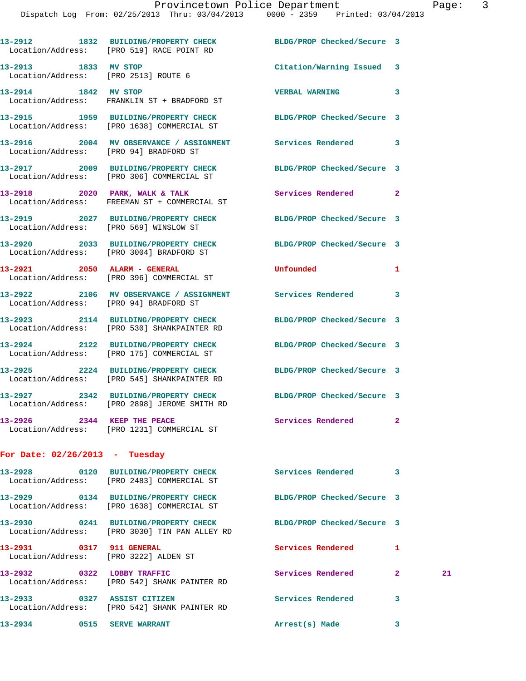Dispatch Log From: 02/25/2013 Thru: 03/04/2013 0000 - 2359 Printed: 03/04/2013

|                                  | 13-2912 1832 BUILDING/PROPERTY CHECK<br>Location/Address: [PRO 519] RACE POINT RD                               | BLDG/PROP Checked/Secure 3 |              |    |
|----------------------------------|-----------------------------------------------------------------------------------------------------------------|----------------------------|--------------|----|
| 13-2913 1833 MV STOP             | Location/Address: [PRO 2513] ROUTE 6                                                                            | Citation/Warning Issued 3  |              |    |
| 13-2914 1842 MV STOP             | Location/Address: FRANKLIN ST + BRADFORD ST                                                                     | <b>VERBAL WARNING</b>      | 3            |    |
|                                  | 13-2915 1959 BUILDING/PROPERTY CHECK BLDG/PROP Checked/Secure 3<br>Location/Address: [PRO 1638] COMMERCIAL ST   |                            |              |    |
|                                  | 13-2916 2004 MV OBSERVANCE / ASSIGNMENT Services Rendered<br>Location/Address: [PRO 94] BRADFORD ST             |                            | 3            |    |
|                                  | 13-2917 2009 BUILDING/PROPERTY CHECK BLDG/PROP Checked/Secure 3<br>Location/Address: [PRO 306] COMMERCIAL ST    |                            |              |    |
|                                  | 13-2918 2020 PARK, WALK & TALK<br>Location/Address: FREEMAN ST + COMMERCIAL ST                                  | <b>Services Rendered</b>   | $\mathbf{2}$ |    |
|                                  | 13-2919 2027 BUILDING/PROPERTY CHECK<br>Location/Address: [PRO 569] WINSLOW ST                                  | BLDG/PROP Checked/Secure 3 |              |    |
|                                  | 13-2920 2033 BUILDING/PROPERTY CHECK<br>Location/Address: [PRO 3004] BRADFORD ST                                | BLDG/PROP Checked/Secure 3 |              |    |
|                                  | 13-2921 2050 ALARM - GENERAL<br>Location/Address: [PRO 396] COMMERCIAL ST                                       | Unfounded                  | 1            |    |
|                                  | 13-2922 2106 MV OBSERVANCE / ASSIGNMENT Services Rendered<br>Location/Address: [PRO 94] BRADFORD ST             |                            | 3            |    |
|                                  | 13-2923 2114 BUILDING/PROPERTY CHECK<br>Location/Address: [PRO 530] SHANKPAINTER RD                             | BLDG/PROP Checked/Secure 3 |              |    |
|                                  | 13-2924 2122 BUILDING/PROPERTY CHECK<br>Location/Address: [PRO 175] COMMERCIAL ST                               | BLDG/PROP Checked/Secure 3 |              |    |
|                                  | 13-2925 2224 BUILDING/PROPERTY CHECK<br>Location/Address: [PRO 545] SHANKPAINTER RD                             | BLDG/PROP Checked/Secure 3 |              |    |
|                                  | 13-2927 2342 BUILDING/PROPERTY CHECK BLDG/PROP Checked/Secure 3<br>Location/Address: [PRO 2898] JEROME SMITH RD |                            |              |    |
| 13-2926 2344 KEEP THE PEACE      | Location/Address: [PRO 1231] COMMERCIAL ST                                                                      | Services Rendered          | $\mathbf{2}$ |    |
| For Date: $02/26/2013$ - Tuesday |                                                                                                                 |                            |              |    |
|                                  | 13-2928 0120 BUILDING/PROPERTY CHECK Services Rendered 3<br>Location/Address: [PRO 2483] COMMERCIAL ST          |                            |              |    |
|                                  | 13-2929 0134 BUILDING/PROPERTY CHECK<br>Location/Address: [PRO 1638] COMMERCIAL ST                              | BLDG/PROP Checked/Secure 3 |              |    |
|                                  | 13-2930 0241 BUILDING/PROPERTY CHECK<br>Location/Address: [PRO 3030] TIN PAN ALLEY RD                           | BLDG/PROP Checked/Secure 3 |              |    |
| 13-2931 0317 911 GENERAL         | Location/Address: [PRO 3222] ALDEN ST                                                                           | Services Rendered          | 1            |    |
| 13-2932 0322 LOBBY TRAFFIC       | Location/Address: [PRO 542] SHANK PAINTER RD                                                                    | Services Rendered          | $\mathbf{2}$ | 21 |
|                                  | 13-2933 0327 ASSIST CITIZEN<br>Location/Address: [PRO 542] SHANK PAINTER RD                                     | Services Rendered          | 3            |    |
| 13-2934 0515 SERVE WARRANT       |                                                                                                                 | Arrest(s) Made             | 3            |    |
|                                  |                                                                                                                 |                            |              |    |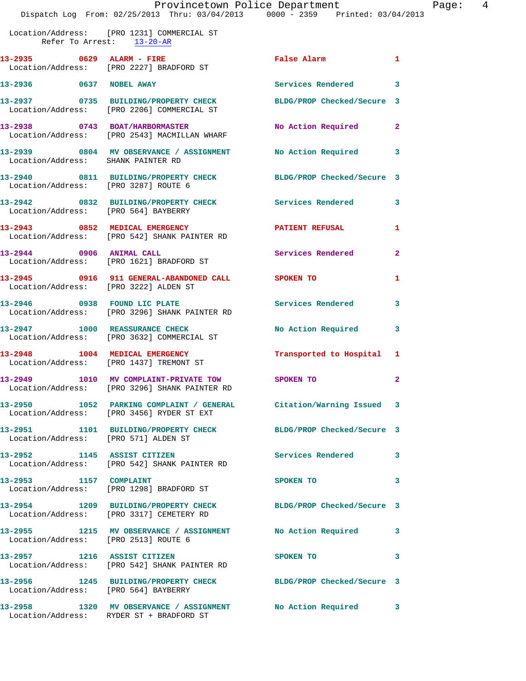|                                       | Provincetown Police Department<br>Dispatch Log From: 02/25/2013 Thru: 03/04/2013 0000 - 2359 Printed: 03/04/2013 |                            |                |
|---------------------------------------|------------------------------------------------------------------------------------------------------------------|----------------------------|----------------|
| Refer To Arrest: 13-20-AR             | Location/Address: [PRO 1231] COMMERCIAL ST                                                                       |                            |                |
|                                       | 13-2935 0629 ALARM - FIRE<br>Location/Address: [PRO 2227] BRADFORD ST                                            | False Alarm                | 1              |
| 13-2936 0637 NOBEL AWAY               |                                                                                                                  | Services Rendered          | 3              |
|                                       | 13-2937 0735 BUILDING/PROPERTY CHECK BLDG/PROP Checked/Secure 3<br>Location/Address: [PRO 2206] COMMERCIAL ST    |                            |                |
|                                       | 13-2938 0743 BOAT/HARBORMASTER<br>Location/Address: [PRO 2543] MACMILLAN WHARF                                   | No Action Required         | $\mathbf{2}$   |
| Location/Address: SHANK PAINTER RD    | 13-2939 0804 MV OBSERVANCE / ASSIGNMENT No Action Required                                                       |                            | 3              |
| Location/Address: [PRO 3287] ROUTE 6  | 13-2940 0811 BUILDING/PROPERTY CHECK BLDG/PROP Checked/Secure 3                                                  |                            |                |
| Location/Address: [PRO 564] BAYBERRY  | 13-2942 0832 BUILDING/PROPERTY CHECK                                                                             | Services Rendered          | 3              |
|                                       | 13-2943 0852 MEDICAL EMERGENCY<br>Location/Address: [PRO 542] SHANK PAINTER RD                                   | <b>PATIENT REFUSAL</b>     | 1              |
| 13-2944 0906 ANIMAL CALL              | Location/Address: [PRO 1621] BRADFORD ST                                                                         | <b>Services Rendered</b>   | $\overline{a}$ |
| Location/Address: [PRO 3222] ALDEN ST | 13-2945 0916 911 GENERAL-ABANDONED CALL SPOKEN TO                                                                |                            | 1              |
|                                       | 13-2946 0938 FOUND LIC PLATE<br>Location/Address: [PRO 3296] SHANK PAINTER RD                                    | Services Rendered          | 3              |
|                                       | 13-2947 1000 REASSURANCE CHECK<br>Location/Address: [PRO 3632] COMMERCIAL ST                                     | No Action Required         | 3              |
| 13-2948 1004 MEDICAL EMERGENCY        | Location/Address: [PRO 1437] TREMONT ST                                                                          | Transported to Hospital 1  |                |
|                                       | 13-2949 1010 MV COMPLAINT-PRIVATE TOW<br>Location/Address: [PRO 3296] SHANK PAINTER RD                           | SPOKEN TO                  | $\mathbf{2}$   |
|                                       | Location/Address: [PRO 3456] RYDER ST EXT                                                                        | Citation/Warning Issued    | 3              |
| Location/Address: [PRO 571] ALDEN ST  | 13-2951 1101 BUILDING/PROPERTY CHECK BLDG/PROP Checked/Secure 3                                                  |                            |                |
| 13-2952 1145 ASSIST CITIZEN           | Location/Address: [PRO 542] SHANK PAINTER RD                                                                     | Services Rendered          | 3              |
| 13-2953 1157 COMPLAINT                | Location/Address: [PRO 1298] BRADFORD ST                                                                         | SPOKEN TO                  | 3              |
|                                       | 13-2954 1209 BUILDING/PROPERTY CHECK<br>Location/Address: [PRO 3317] CEMETERY RD                                 | BLDG/PROP Checked/Secure 3 |                |
|                                       | 13-2955 1215 MV OBSERVANCE / ASSIGNMENT                                                                          | No Action Required         | 3              |

 Location/Address: [PRO 2513] ROUTE 6 **13-2957 1216 ASSIST CITIZEN SPOKEN TO 3**  Location/Address: [PRO 542] SHANK PAINTER RD **13-2956 1245 BUILDING/PROPERTY CHECK BLDG/PROP Checked/Secure 3**  Location/Address: [PRO 564] BAYBERRY **13-2958 1320 MV OBSERVANCE / ASSIGNMENT No Action Required 3** 

Location/Address: RYDER ST + BRADFORD ST

Page: 4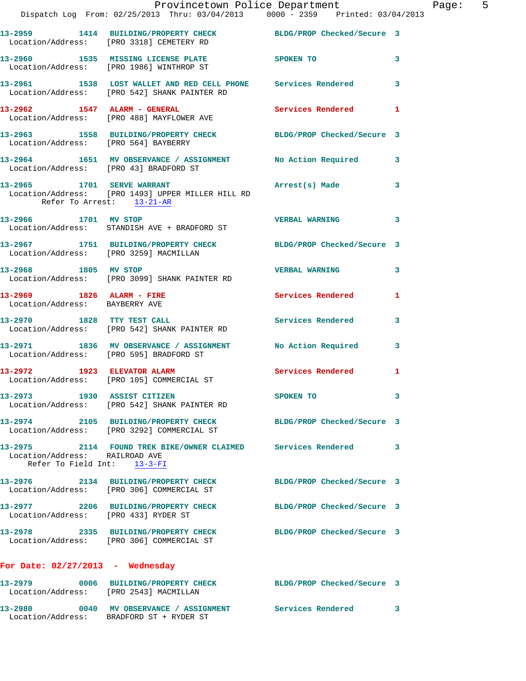|                                                               | Provincetown Police Department<br>Dispatch Log From: 02/25/2013 Thru: 03/04/2013 0000 - 2359 Printed: 03/04/2013 |                            |   |
|---------------------------------------------------------------|------------------------------------------------------------------------------------------------------------------|----------------------------|---|
|                                                               | 13-2959 1414 BUILDING/PROPERTY CHECK BLDG/PROP Checked/Secure 3<br>Location/Address: [PRO 3318] CEMETERY RD      |                            |   |
|                                                               | 13-2960 1535 MISSING LICENSE PLATE 65 SPOKEN TO<br>Location/Address: [PRO 1986] WINTHROP ST                      |                            | 3 |
|                                                               | 13-2961 1538 LOST WALLET AND RED CELL PHONE Services Rendered<br>Location/Address: [PRO 542] SHANK PAINTER RD    |                            | 3 |
|                                                               | 13-2962               1547    ALARM - GENERAL<br>Location/Address:     [PRO 488] MAYFLOWER AVE                   | Services Rendered          | 1 |
|                                                               | 13-2963 1558 BUILDING/PROPERTY CHECK BLDG/PROP Checked/Secure 3<br>Location/Address: [PRO 564] BAYBERRY          |                            |   |
|                                                               | 13-2964 1651 MV OBSERVANCE / ASSIGNMENT No Action Required<br>Location/Address: [PRO 43] BRADFORD ST             |                            | 3 |
|                                                               | 13-2965 1701 SERVE WARRANT<br>Location/Address: [PRO 1493] UPPER MILLER HILL RD<br>Refer To Arrest: 13-21-AR     | Arrest(s) Made             | 3 |
|                                                               | 13-2966 1701 MV STOP<br>Location/Address: STANDISH AVE + BRADFORD ST                                             | <b>VERBAL WARNING</b>      | 3 |
| Location/Address: [PRO 3259] MACMILLAN                        | 13-2967 1751 BUILDING/PROPERTY CHECK BLDG/PROP Checked/Secure 3                                                  |                            |   |
|                                                               | 13-2968 1805 MV STOP<br>Location/Address: [PRO 3099] SHANK PAINTER RD                                            | <b>VERBAL WARNING</b>      | 3 |
| 13-2969 1826 ALARM - FIRE<br>Location/Address: BAYBERRY AVE   |                                                                                                                  | Services Rendered          | 1 |
|                                                               | 13-2970 1828 TTY TEST CALL<br>Location/Address: [PRO 542] SHANK PAINTER RD                                       | <b>Services Rendered</b>   | 3 |
|                                                               | 13-2971 1836 MV OBSERVANCE / ASSIGNMENT No Action Required<br>Location/Address: [PRO 595] BRADFORD ST            |                            | 3 |
|                                                               | 13-2972 1923 ELEVATOR ALARM<br>Location/Address: [PRO 105] COMMERCIAL ST                                         | Services Rendered          | 1 |
| 13-2973 1930 ASSIST CITIZEN                                   | Location/Address: [PRO 542] SHANK PAINTER RD                                                                     | SPOKEN TO                  | 3 |
|                                                               | 13-2974 2105 BUILDING/PROPERTY CHECK BLDG/PROP Checked/Secure 3<br>Location/Address: [PRO 3292] COMMERCIAL ST    |                            |   |
| Location/Address: RAILROAD AVE<br>Refer To Field Int: 13-3-FI | 13-2975 2114 FOUND TREK BIKE/OWNER CLAIMED Services Rendered                                                     |                            | 3 |
|                                                               | 13-2976 2134 BUILDING/PROPERTY CHECK<br>Location/Address: [PRO 306] COMMERCIAL ST                                | BLDG/PROP Checked/Secure 3 |   |
| Location/Address: [PRO 433] RYDER ST                          | 13-2977 2206 BUILDING/PROPERTY CHECK BLDG/PROP Checked/Secure 3                                                  |                            |   |
|                                                               | 13-2978 2335 BUILDING/PROPERTY CHECK<br>Location/Address: [PRO 306] COMMERCIAL ST                                | BLDG/PROP Checked/Secure 3 |   |
| For Date: $02/27/2013$ - Wednesday                            |                                                                                                                  |                            |   |
| Location/Address: [PRO 2543] MACMILLAN                        | 13-2979 0006 BUILDING/PROPERTY CHECK                                                                             | BLDG/PROP Checked/Secure 3 |   |
| 13-2980                                                       |                                                                                                                  |                            | 3 |

Location/Address: BRADFORD ST + RYDER ST

Page: 5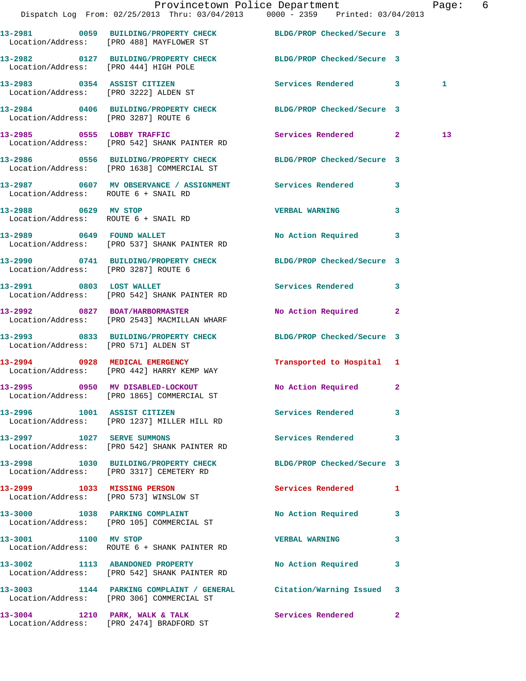|                                       |                                                                                  | Provincetown Police Department<br>Dispatch Log From: 02/25/2013 Thru: 03/04/2013 0000 - 2359 Printed: 03/04/2013 | Page: 6      |
|---------------------------------------|----------------------------------------------------------------------------------|------------------------------------------------------------------------------------------------------------------|--------------|
|                                       |                                                                                  |                                                                                                                  |              |
|                                       | Location/Address: [PRO 488] MAYFLOWER ST                                         | 13-2981 0059 BUILDING/PROPERTY CHECK BLDG/PROP Checked/Secure 3                                                  |              |
| Location/Address: [PRO 444] HIGH POLE |                                                                                  | 13-2982 0127 BUILDING/PROPERTY CHECK BLDG/PROP Checked/Secure 3                                                  |              |
| Location/Address: [PRO 3222] ALDEN ST | 13-2983 0354 ASSIST CITIZEN                                                      | Services Rendered 3                                                                                              | 1            |
| Location/Address: [PRO 3287] ROUTE 6  |                                                                                  | 13-2984 0406 BUILDING/PROPERTY CHECK BLDG/PROP Checked/Secure 3                                                  |              |
|                                       | 13-2985 0555 LOBBY TRAFFIC<br>Location/Address: [PRO 542] SHANK PAINTER RD       | Services Rendered 2                                                                                              | 13           |
|                                       | Location/Address: [PRO 1638] COMMERCIAL ST                                       | 13-2986 0556 BUILDING/PROPERTY CHECK BLDG/PROP Checked/Secure 3                                                  |              |
| Location/Address: ROUTE 6 + SNAIL RD  |                                                                                  | 13-2987 0607 MV OBSERVANCE / ASSIGNMENT Services Rendered 3                                                      |              |
| Location/Address: ROUTE 6 + SNAIL RD  | 13-2988 0629 MV STOP                                                             | <b>VERBAL WARNING</b>                                                                                            | 3            |
|                                       | 13-2989 0649 FOUND WALLET<br>Location/Address: [PRO 537] SHANK PAINTER RD        | No Action Required 3                                                                                             |              |
| Location/Address: [PRO 3287] ROUTE 6  |                                                                                  | 13-2990 0741 BUILDING/PROPERTY CHECK BLDG/PROP Checked/Secure 3                                                  |              |
|                                       | 13-2991 0803 LOST WALLET<br>Location/Address: [PRO 542] SHANK PAINTER RD         | Services Rendered 3                                                                                              |              |
|                                       | 13-2992 0827 BOAT/HARBORMASTER<br>Location/Address: [PRO 2543] MACMILLAN WHARF   | No Action Required 2                                                                                             |              |
| Location/Address: [PRO 571] ALDEN ST  |                                                                                  | 13-2993 0833 BUILDING/PROPERTY CHECK BLDG/PROP Checked/Secure 3                                                  |              |
|                                       | 13-2994 0928 MEDICAL EMERGENCY<br>Location/Address: [PRO 442] HARRY KEMP WAY     | Transported to Hospital 1                                                                                        |              |
|                                       | 13-2995 0950 MV DISABLED-LOCKOUT<br>Location/Address: [PRO 1865] COMMERCIAL ST   | No Action Required 2                                                                                             |              |
|                                       | 13-2996 1001 ASSIST CITIZEN<br>Location/Address: [PRO 1237] MILLER HILL RD       | Services Rendered                                                                                                | $\mathbf{3}$ |
| 13-2997 1027 SERVE SUMMONS            | Location/Address: [PRO 542] SHANK PAINTER RD                                     | Services Rendered 3                                                                                              |              |
|                                       | 13-2998 1030 BUILDING/PROPERTY CHECK<br>Location/Address: [PRO 3317] CEMETERY RD | BLDG/PROP Checked/Secure 3                                                                                       |              |
|                                       | 13-2999 1033 MISSING PERSON<br>Location/Address: [PRO 573] WINSLOW ST            | Services Rendered 1                                                                                              |              |
|                                       | 13-3000 1038 PARKING COMPLAINT<br>Location/Address: [PRO 105] COMMERCIAL ST      | No Action Required 3                                                                                             |              |
| 13-3001 1100 MV STOP                  | Location/Address: ROUTE 6 + SHANK PAINTER RD                                     | <b>VERBAL WARNING</b>                                                                                            | 3            |
|                                       | 13-3002 1113 ABANDONED PROPERTY<br>Location/Address: [PRO 542] SHANK PAINTER RD  | No Action Required                                                                                               | 3            |
|                                       | Location/Address: [PRO 306] COMMERCIAL ST                                        | 13-3003 1144 PARKING COMPLAINT / GENERAL Citation/Warning Issued 3                                               |              |
|                                       | 13-3004 1210 PARK, WALK & TALK<br>Location/Address: [PRO 2474] BRADFORD ST       | Services Rendered                                                                                                | $\mathbf{2}$ |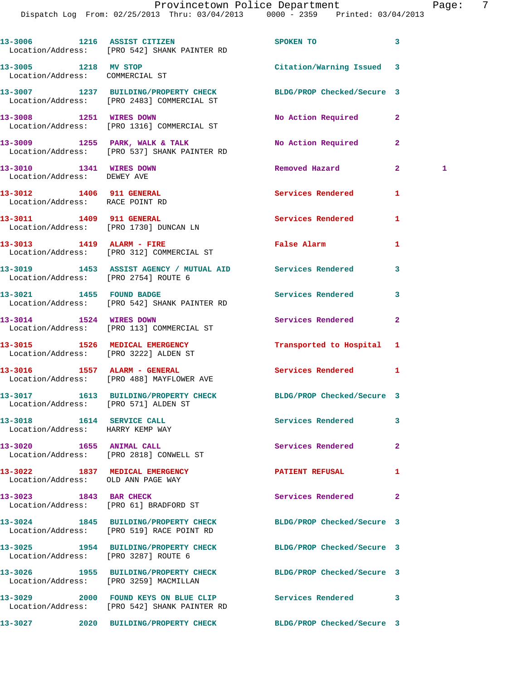|                                                                         | 13-3006 1216 ASSIST CITIZEN<br>Location/Address: [PRO 542] SHANK PAINTER RD                                   | SPOKEN TO                  | 3                  |
|-------------------------------------------------------------------------|---------------------------------------------------------------------------------------------------------------|----------------------------|--------------------|
| 13-3005 1218 MV STOP<br>Location/Address: COMMERCIAL ST                 |                                                                                                               | Citation/Warning Issued 3  |                    |
|                                                                         | 13-3007 1237 BUILDING/PROPERTY CHECK BLDG/PROP Checked/Secure 3<br>Location/Address: [PRO 2483] COMMERCIAL ST |                            |                    |
|                                                                         | 13-3008 1251 WIRES DOWN<br>Location/Address: [PRO 1316] COMMERCIAL ST                                         | No Action Required         | $\mathbf{2}$       |
|                                                                         | 13-3009 1255 PARK, WALK & TALK<br>Location/Address: [PRO 537] SHANK PAINTER RD                                | No Action Required         | $\mathbf{2}$       |
| 13-3010 1341 WIRES DOWN<br>Location/Address: DEWEY AVE                  |                                                                                                               | Removed Hazard             | $\mathbf{2}$<br>-1 |
| 13-3012 1406 911 GENERAL<br>Location/Address: RACE POINT RD             |                                                                                                               | Services Rendered          | 1                  |
| 13-3011 1409 911 GENERAL                                                | Location/Address: [PRO 1730] DUNCAN LN                                                                        | <b>Services Rendered</b>   | 1                  |
|                                                                         | 13-3013 1419 ALARM - FIRE<br>Location/Address: [PRO 312] COMMERCIAL ST                                        | False Alarm                | 1                  |
| Location/Address: [PRO 2754] ROUTE 6                                    | 13-3019 1453 ASSIST AGENCY / MUTUAL AID Services Rendered                                                     |                            | 3                  |
|                                                                         | 13-3021 1455 FOUND BADGE<br>Location/Address: [PRO 542] SHANK PAINTER RD                                      | <b>Services Rendered</b>   | 3                  |
| 13-3014 1524 WIRES DOWN                                                 | Location/Address: [PRO 113] COMMERCIAL ST                                                                     | Services Rendered          | $\overline{a}$     |
| 13-3015 1526 MEDICAL EMERGENCY<br>Location/Address: [PRO 3222] ALDEN ST |                                                                                                               | Transported to Hospital    | 1                  |
|                                                                         | 13-3016 1557 ALARM - GENERAL<br>Location/Address: [PRO 488] MAYFLOWER AVE                                     | Services Rendered          | 1                  |
| Location/Address: [PRO 571] ALDEN ST                                    | 13-3017 1613 BUILDING/PROPERTY CHECK BLDG/PROP Checked/Secure 3                                               |                            |                    |
| 13-3018   1614   SERVICE CALL<br>Location/Address: HARRY KEMP WAY       |                                                                                                               | Services Rendered          | -3                 |
|                                                                         | 13-3020 1655 ANIMAL CALL<br>Location/Address: [PRO 2818] CONWELL ST                                           | Services Rendered          | $\overline{2}$     |
| 13-3022 1837 MEDICAL EMERGENCY<br>Location/Address: OLD ANN PAGE WAY    |                                                                                                               | <b>PATIENT REFUSAL</b>     | 1                  |
| 13-3023 1843 BAR CHECK                                                  | Location/Address: [PRO 61] BRADFORD ST                                                                        | Services Rendered          | $\overline{a}$     |
|                                                                         | 13-3024 1845 BUILDING/PROPERTY CHECK<br>Location/Address: [PRO 519] RACE POINT RD                             | BLDG/PROP Checked/Secure 3 |                    |
| Location/Address: [PRO 3287] ROUTE 6                                    | 13-3025 1954 BUILDING/PROPERTY CHECK                                                                          | BLDG/PROP Checked/Secure 3 |                    |
| Location/Address: [PRO 3259] MACMILLAN                                  | 13-3026 1955 BUILDING/PROPERTY CHECK BLDG/PROP Checked/Secure 3                                               |                            |                    |
|                                                                         | 13-3029 2000 FOUND KEYS ON BLUE CLIP<br>Location/Address: [PRO 542] SHANK PAINTER RD                          | Services Rendered          | 3                  |
|                                                                         | 13-3027 2020 BUILDING/PROPERTY CHECK BLDG/PROP Checked/Secure 3                                               |                            |                    |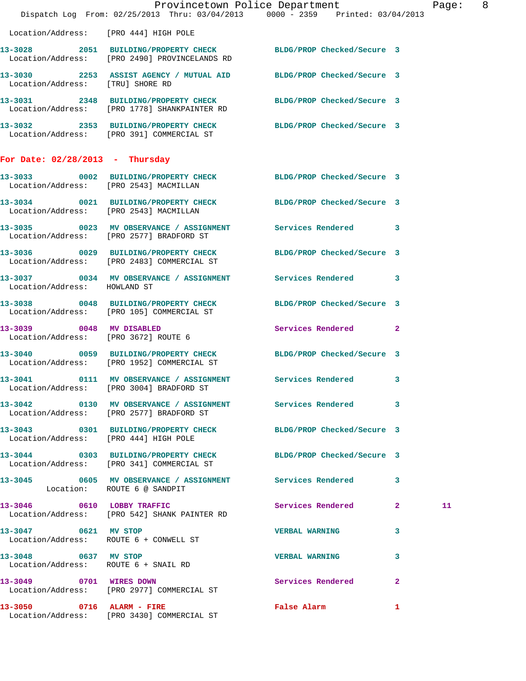|                                                                  | Dispatch Log From: 02/25/2013 Thru: 03/04/2013 0000 - 2359 Printed: 03/04/2013                                   | Provincetown Police Department              | Page: 8 |
|------------------------------------------------------------------|------------------------------------------------------------------------------------------------------------------|---------------------------------------------|---------|
| Location/Address: [PRO 444] HIGH POLE                            |                                                                                                                  |                                             |         |
|                                                                  | 13-3028 2051 BUILDING/PROPERTY CHECK BLDG/PROP Checked/Secure 3<br>Location/Address: [PRO 2490] PROVINCELANDS RD |                                             |         |
| Location/Address: [TRU] SHORE RD                                 | 13-3030 2253 ASSIST AGENCY / MUTUAL AID BLDG/PROP Checked/Secure 3                                               |                                             |         |
|                                                                  | 13-3031 2348 BUILDING/PROPERTY CHECK BLDG/PROP Checked/Secure 3<br>Location/Address: [PRO 1778] SHANKPAINTER RD  |                                             |         |
|                                                                  | 13-3032 2353 BUILDING/PROPERTY CHECK BLDG/PROP Checked/Secure 3<br>Location/Address: [PRO 391] COMMERCIAL ST     |                                             |         |
| For Date: $02/28/2013$ - Thursday                                |                                                                                                                  |                                             |         |
|                                                                  | 13-3033 0002 BUILDING/PROPERTY CHECK BLDG/PROP Checked/Secure 3<br>Location/Address: [PRO 2543] MACMILLAN        |                                             |         |
|                                                                  | 13-3034 0021 BUILDING/PROPERTY CHECK BLDG/PROP Checked/Secure 3<br>Location/Address: [PRO 2543] MACMILLAN        |                                             |         |
|                                                                  | 13-3035 0023 MV OBSERVANCE / ASSIGNMENT Services Rendered 3<br>Location/Address: [PRO 2577] BRADFORD ST          |                                             |         |
|                                                                  | 13-3036 0029 BUILDING/PROPERTY CHECK<br>Location/Address: [PRO 2483] COMMERCIAL ST                               | BLDG/PROP Checked/Secure 3                  |         |
| Location/Address: HOWLAND ST                                     | 13-3037 0034 MV OBSERVANCE / ASSIGNMENT Services Rendered 3                                                      |                                             |         |
|                                                                  | 13-3038 0048 BUILDING/PROPERTY CHECK<br>Location/Address: [PRO 105] COMMERCIAL ST                                | BLDG/PROP Checked/Secure 3                  |         |
| 13-3039 0048 MV DISABLED<br>Location/Address: [PRO 3672] ROUTE 6 |                                                                                                                  | Services Rendered 2                         |         |
|                                                                  | 13-3040 0059 BUILDING/PROPERTY CHECK BLDG/PROP Checked/Secure 3<br>Location/Address: [PRO 1952] COMMERCIAL ST    |                                             |         |
| $13 - 3041$                                                      | 0111 MV OBSERVANCE / ASSIGNMENT Services Rendered 3<br>Location/Address: [PRO 3004] BRADFORD ST                  |                                             |         |
|                                                                  | 13-3042 0130 MV OBSERVANCE / ASSIGNMENT Services Rendered 3<br>Location/Address: [PRO 2577] BRADFORD ST          |                                             |         |
| Location/Address: [PRO 444] HIGH POLE                            | 13-3043 0301 BUILDING/PROPERTY CHECK BLDG/PROP Checked/Secure 3                                                  |                                             |         |
|                                                                  | 13-3044 0303 BUILDING/PROPERTY CHECK BLDG/PROP Checked/Secure 3<br>Location/Address: [PRO 341] COMMERCIAL ST     |                                             |         |
| Location: ROUTE 6 @ SANDPIT                                      | 13-3045 0605 MV OBSERVANCE / ASSIGNMENT Services Rendered 3                                                      |                                             |         |
|                                                                  | 13-3046 0610 LOBBY TRAFFIC<br>Location/Address: [PRO 542] SHANK PAINTER RD                                       | Services Rendered 2                         | 11      |
| 13-3047 0621 MV STOP                                             | Location/Address: ROUTE 6 + CONWELL ST                                                                           | VERBAL WARNING 3                            |         |
| 13-3048 0637 MV STOP                                             | Location/Address: ROUTE 6 + SNAIL RD                                                                             | VERBAL WARNING 3                            |         |
| 13-3049 0701 WIRES DOWN                                          | Location/Address: [PRO 2977] COMMERCIAL ST                                                                       | Services Rendered 2                         |         |
|                                                                  | 13-3050 0716 ALARM - FIRE<br>Location/Address: [PRO 3430] COMMERCIAL ST                                          | False Alarm <b>Exercise Service Service</b> | 1       |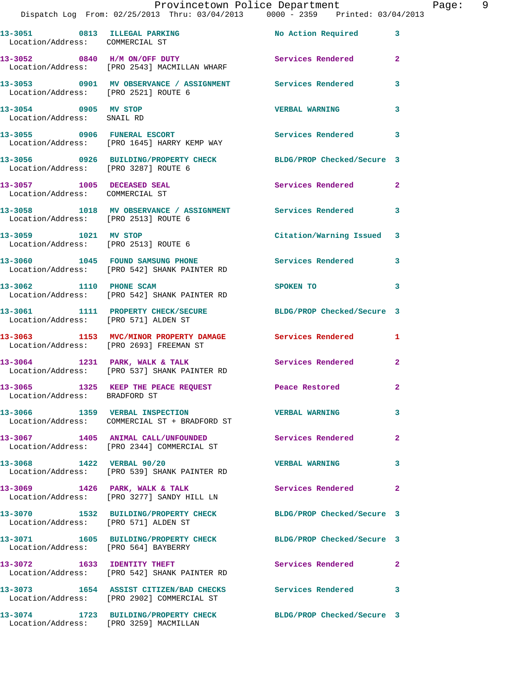|                                                    |                                                                                 | Provincetown Police Department Page: 9<br>Dispatch Log From: 02/25/2013 Thru: 03/04/2013 0000 - 2359 Printed: 03/04/2013 |              |  |
|----------------------------------------------------|---------------------------------------------------------------------------------|--------------------------------------------------------------------------------------------------------------------------|--------------|--|
| Location/Address: COMMERCIAL ST                    |                                                                                 | 13-3051 0813 ILLEGAL PARKING No Action Required 3                                                                        |              |  |
|                                                    | 13-3052 0840 H/M ON/OFF DUTY<br>Location/Address: [PRO 2543] MACMILLAN WHARF    | Services Rendered 2                                                                                                      |              |  |
| Location/Address: [PRO 2521] ROUTE 6               |                                                                                 | 13-3053 0901 MV OBSERVANCE / ASSIGNMENT Services Rendered 3                                                              |              |  |
| 13-3054 0905 MV STOP<br>Location/Address: SNAIL RD |                                                                                 | VERBAL WARNING 3                                                                                                         |              |  |
|                                                    | Location/Address: [PRO 1645] HARRY KEMP WAY                                     | 13-3055 0906 FUNERAL ESCORT Services Rendered 3                                                                          |              |  |
|                                                    | Location/Address: [PRO 3287] ROUTE 6                                            | 13-3056 0926 BUILDING/PROPERTY CHECK BLDG/PROP Checked/Secure 3                                                          |              |  |
| Location/Address: COMMERCIAL ST                    | 13-3057 1005 DECEASED SEAL                                                      | Services Rendered 2                                                                                                      |              |  |
| Location/Address: [PRO 2513] ROUTE 6               |                                                                                 | 13-3058 1018 MV OBSERVANCE / ASSIGNMENT Services Rendered 3                                                              |              |  |
|                                                    | 13-3059 1021 MV STOP<br>Location/Address: [PRO 2513] ROUTE 6                    | Citation/Warning Issued 3                                                                                                |              |  |
|                                                    | Location/Address: [PRO 542] SHANK PAINTER RD                                    | 13-3060 1045 FOUND SAMSUNG PHONE 5ervices Rendered 3                                                                     |              |  |
|                                                    | 13-3062 1110 PHONE SCAM<br>Location/Address: [PRO 542] SHANK PAINTER RD         | SPOKEN TO 3                                                                                                              |              |  |
| Location/Address: [PRO 571] ALDEN ST               |                                                                                 | 13-3061 1111 PROPERTY CHECK/SECURE BLDG/PROP Checked/Secure 3                                                            |              |  |
|                                                    |                                                                                 | 13-3063 1153 MVC/MINOR PROPERTY DAMAGE Services Rendered 1<br>Location/Address: [PRO 2693] FREEMAN ST                    |              |  |
|                                                    | Location/Address: [PRO 537] SHANK PAINTER RD                                    | 13-3064 1231 PARK, WALK & TALK 2 Services Rendered 2                                                                     |              |  |
| Location/Address: BRADFORD ST                      | 13-3065 1325 KEEP THE PEACE REQUEST Peace Restored                              |                                                                                                                          | $\mathbf{2}$ |  |
|                                                    | 13-3066 1359 VERBAL INSPECTION<br>Location/Address: COMMERCIAL ST + BRADFORD ST | VERBAL WARNING 3                                                                                                         |              |  |
|                                                    | Location/Address: [PRO 2344] COMMERCIAL ST                                      | 13-3067 1405 ANIMAL CALL/UNFOUNDED Services Rendered                                                                     | $\mathbf{2}$ |  |
| 13-3068 1422 VERBAL 90/20                          | Location/Address: [PRO 539] SHANK PAINTER RD                                    | VERBAL WARNING 3                                                                                                         |              |  |
|                                                    | Location/Address: [PRO 3277] SANDY HILL LN                                      | 13-3069 1426 PARK, WALK & TALK 6 Services Rendered 2                                                                     |              |  |
| Location/Address: [PRO 571] ALDEN ST               |                                                                                 | 13-3070 1532 BUILDING/PROPERTY CHECK BLDG/PROP Checked/Secure 3                                                          |              |  |
|                                                    |                                                                                 | 13-3071   1605   BUILDING/PROPERTY CHECK   BLDG/PROP Checked/Secure   3<br>Location/Address: [PRO 564] BAYBERRY          |              |  |
|                                                    | 13-3072 1633 IDENTITY THEFT<br>Location/Address: [PRO 542] SHANK PAINTER RD     | Services Rendered 2                                                                                                      |              |  |
|                                                    | Location/Address: [PRO 2902] COMMERCIAL ST                                      | 13-3073 1654 ASSIST CITIZEN/BAD CHECKS Services Rendered 3                                                               |              |  |
|                                                    | Location/Address: [PRO 3259] MACMILLAN                                          | 13-3074 1723 BUILDING/PROPERTY CHECK BLDG/PROP Checked/Secure 3                                                          |              |  |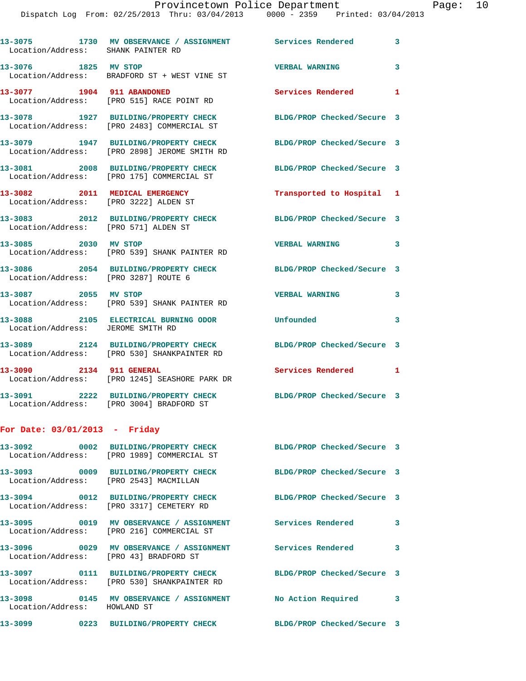| Location/Address: SHANK PAINTER RD     | 13-3075 1730 MV OBSERVANCE / ASSIGNMENT Services Rendered                                                     |                            | 3            |
|----------------------------------------|---------------------------------------------------------------------------------------------------------------|----------------------------|--------------|
| 13-3076 1825 MV STOP                   | Location/Address: BRADFORD ST + WEST VINE ST                                                                  | <b>VERBAL WARNING</b>      | 3            |
| 13-3077 1904 911 ABANDONED             | Location/Address: [PRO 515] RACE POINT RD                                                                     | Services Rendered 1        |              |
|                                        | 13-3078 1927 BUILDING/PROPERTY CHECK<br>Location/Address: [PRO 2483] COMMERCIAL ST                            | BLDG/PROP Checked/Secure 3 |              |
|                                        | 13-3079 1947 BUILDING/PROPERTY CHECK<br>Location/Address: [PRO 2898] JEROME SMITH RD                          | BLDG/PROP Checked/Secure 3 |              |
|                                        | 13-3081 2008 BUILDING/PROPERTY CHECK<br>Location/Address: [PRO 175] COMMERCIAL ST                             | BLDG/PROP Checked/Secure 3 |              |
| 13-3082 2011 MEDICAL EMERGENCY         | Location/Address: [PRO 3222] ALDEN ST                                                                         | Transported to Hospital 1  |              |
| Location/Address: [PRO 571] ALDEN ST   | 13-3083 2012 BUILDING/PROPERTY CHECK                                                                          | BLDG/PROP Checked/Secure 3 |              |
| 13-3085 2030 MV STOP                   | Location/Address: [PRO 539] SHANK PAINTER RD                                                                  | <b>VERBAL WARNING</b>      | 3            |
| Location/Address: [PRO 3287] ROUTE 6   | 13-3086 2054 BUILDING/PROPERTY CHECK                                                                          | BLDG/PROP Checked/Secure 3 |              |
| 13-3087 2055 MV STOP                   | Location/Address: [PRO 539] SHANK PAINTER RD                                                                  | <b>VERBAL WARNING</b>      | 3            |
| Location/Address: JEROME SMITH RD      | 13-3088 2105 ELECTRICAL BURNING ODOR                                                                          | Unfounded                  | 3            |
|                                        | 13-3089 2124 BUILDING/PROPERTY CHECK<br>Location/Address: [PRO 530] SHANKPAINTER RD                           | BLDG/PROP Checked/Secure 3 |              |
| 13-3090 2134 911 GENERAL               | Location/Address: [PRO 1245] SEASHORE PARK DR                                                                 | Services Rendered 1        |              |
|                                        | 13-3091 2222 BUILDING/PROPERTY CHECK<br>Location/Address: [PRO 3004] BRADFORD ST                              | BLDG/PROP Checked/Secure 3 |              |
| For Date: $03/01/2013$ - Friday        |                                                                                                               |                            |              |
|                                        | 13-3092 0002 BUILDING/PROPERTY CHECK BLDG/PROP Checked/Secure 3<br>Location/Address: [PRO 1989] COMMERCIAL ST |                            |              |
| Location/Address: [PRO 2543] MACMILLAN | 13-3093 0009 BUILDING/PROPERTY CHECK BLDG/PROP Checked/Secure 3                                               |                            |              |
|                                        | 13-3094 0012 BUILDING/PROPERTY CHECK BLDG/PROP Checked/Secure 3<br>Location/Address: [PRO 3317] CEMETERY RD   |                            |              |
|                                        | 13-3095 0019 MV OBSERVANCE / ASSIGNMENT Services Rendered<br>Location/Address: [PRO 216] COMMERCIAL ST        |                            | $\mathbf{3}$ |
| Location/Address: [PRO 43] BRADFORD ST | 13-3096 60029 MV OBSERVANCE / ASSIGNMENT Services Rendered 3                                                  |                            |              |
|                                        | 13-3097 0111 BUILDING/PROPERTY CHECK<br>Location/Address: [PRO 530] SHANKPAINTER RD                           | BLDG/PROP Checked/Secure 3 |              |
| Location/Address: HOWLAND ST           | 13-3098 0145 MV OBSERVANCE / ASSIGNMENT No Action Required 3                                                  |                            |              |
|                                        | 13-3099       0223   BUILDING/PROPERTY CHECK        BLDG/PROP Checked/Secure 3                                |                            |              |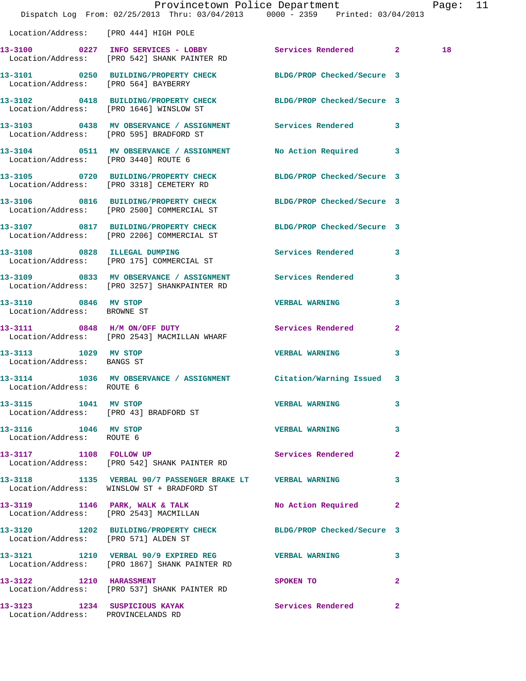|                                                     | Dispatch Log From: 02/25/2013 Thru: 03/04/2013 0000 - 2359 Printed: 03/04/2013                              | Provincetown Police Department                                                                                                                                                                                                 |              | Page: 11 |  |
|-----------------------------------------------------|-------------------------------------------------------------------------------------------------------------|--------------------------------------------------------------------------------------------------------------------------------------------------------------------------------------------------------------------------------|--------------|----------|--|
| Location/Address: [PRO 444] HIGH POLE               |                                                                                                             |                                                                                                                                                                                                                                |              |          |  |
|                                                     | 13-3100 0227 INFO SERVICES - LOBBY Services Rendered 2<br>Location/Address: [PRO 542] SHANK PAINTER RD      |                                                                                                                                                                                                                                |              | 18       |  |
| Location/Address: [PRO 564] BAYBERRY                | 13-3101 0250 BUILDING/PROPERTY CHECK BLDG/PROP Checked/Secure 3                                             |                                                                                                                                                                                                                                |              |          |  |
|                                                     | 13-3102 0418 BUILDING/PROPERTY CHECK BLDG/PROP Checked/Secure 3<br>Location/Address: [PRO 1646] WINSLOW ST  |                                                                                                                                                                                                                                |              |          |  |
|                                                     | 13-3103 0438 MV OBSERVANCE / ASSIGNMENT Services Rendered 3<br>Location/Address: [PRO 595] BRADFORD ST      |                                                                                                                                                                                                                                |              |          |  |
|                                                     | 13-3104 0511 MV OBSERVANCE / ASSIGNMENT No Action Required 3<br>Location/Address: [PRO 3440] ROUTE 6        |                                                                                                                                                                                                                                |              |          |  |
|                                                     | 13-3105 0720 BUILDING/PROPERTY CHECK BLDG/PROP Checked/Secure 3<br>Location/Address: [PRO 3318] CEMETERY RD |                                                                                                                                                                                                                                |              |          |  |
|                                                     | 13-3106 0816 BUILDING/PROPERTY CHECK<br>Location/Address: [PRO 2500] COMMERCIAL ST                          | BLDG/PROP Checked/Secure 3                                                                                                                                                                                                     |              |          |  |
|                                                     | 13-3107 0817 BUILDING/PROPERTY CHECK<br>Location/Address: [PRO 2206] COMMERCIAL ST                          | BLDG/PROP Checked/Secure 3                                                                                                                                                                                                     |              |          |  |
|                                                     | 13-3108 0828 ILLEGAL DUMPING<br>Location/Address: [PRO 175] COMMERCIAL ST                                   | Services Rendered 3                                                                                                                                                                                                            |              |          |  |
|                                                     | 13-3109 0833 MV OBSERVANCE / ASSIGNMENT Services Rendered 3<br>Location/Address: [PRO 3257] SHANKPAINTER RD |                                                                                                                                                                                                                                |              |          |  |
| 13-3110 0846 MV STOP<br>Location/Address: BROWNE ST |                                                                                                             | <b>VERBAL WARNING</b>                                                                                                                                                                                                          | 3            |          |  |
|                                                     | 13-3111 0848 H/M ON/OFF DUTY Services Rendered 2<br>Location/Address: [PRO 2543] MACMILLAN WHARF            |                                                                                                                                                                                                                                |              |          |  |
| 13-3113 1029 MV STOP<br>Location/Address: BANGS ST  |                                                                                                             | <b>VERBAL WARNING</b>                                                                                                                                                                                                          | 3            |          |  |
| Location/Address: ROUTE 6                           | 13-3114 1036 MV OBSERVANCE / ASSIGNMENT Citation/Warning Issued 3                                           |                                                                                                                                                                                                                                |              |          |  |
| 13-3115 1041 MV STOP                                | Location/Address: [PRO 43] BRADFORD ST                                                                      | <b>VERBAL WARNING</b>                                                                                                                                                                                                          | 3            |          |  |
| 13-3116 1046 MV STOP<br>Location/Address: ROUTE 6   |                                                                                                             | <b>VERBAL WARNING</b>                                                                                                                                                                                                          | $\mathbf{3}$ |          |  |
|                                                     | 13-3117 1108 FOLLOW UP<br>Location/Address: [PRO 542] SHANK PAINTER RD                                      | Services Rendered                                                                                                                                                                                                              | $\mathbf{2}$ |          |  |
|                                                     | 13-3118 1135 VERBAL 90/7 PASSENGER BRAKE LT  VERBAL WARNING 3<br>Location/Address: WINSLOW ST + BRADFORD ST |                                                                                                                                                                                                                                |              |          |  |
|                                                     | 13-3119 1146 PARK, WALK & TALK<br>Location/Address: [PRO 2543] MACMILLAN                                    | No Action Required 2                                                                                                                                                                                                           |              |          |  |
| Location/Address: [PRO 571] ALDEN ST                | 13-3120 1202 BUILDING/PROPERTY CHECK BLDG/PROP Checked/Secure 3                                             |                                                                                                                                                                                                                                |              |          |  |
|                                                     | 13-3121 1210 VERBAL 90/9 EXPIRED REG WERBAL WARNING 3<br>Location/Address: [PRO 1867] SHANK PAINTER RD      |                                                                                                                                                                                                                                |              |          |  |
| 13-3122 1210 HARASSMENT                             | Location/Address: [PRO 537] SHANK PAINTER RD                                                                | SPOKEN TO AND TO A RESIDENCE A RESIDENCE OF A RESIDENCE OF A RESIDENCE OF A RESIDENCE OF A REPORT OF A REPORT OF A REPORT OF A REPORT OF A REPORT OF A REPORT OF A REPORT OF A REPORT OF A REPORT OF A REPORT OF A REPORT OF A | $\mathbf{2}$ |          |  |
| Location/Address: PROVINCELANDS RD                  | 13-3123 1234 SUSPICIOUS KAYAK 1 Services Rendered 2                                                         |                                                                                                                                                                                                                                |              |          |  |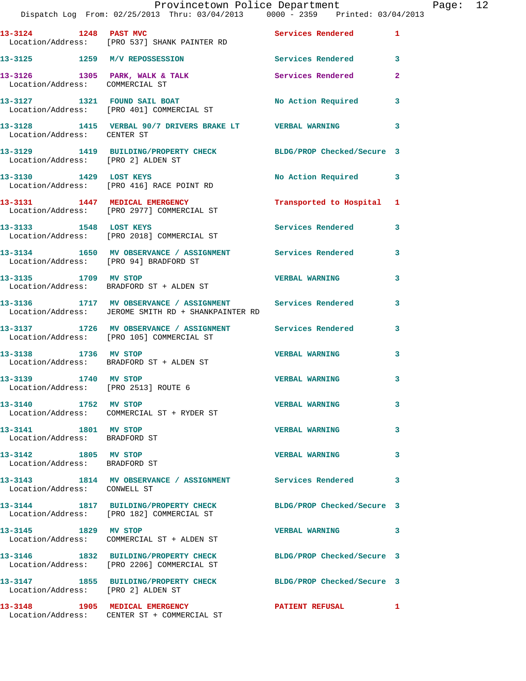|                                                              | Dispatch Log From: 02/25/2013 Thru: 03/04/2013 0000 - 2359 Printed: 03/04/2013                                   | Provincetown Police Department |                | Page: 12 |  |
|--------------------------------------------------------------|------------------------------------------------------------------------------------------------------------------|--------------------------------|----------------|----------|--|
| 13-3124 1248 PAST MVC                                        | Location/Address: [PRO 537] SHANK PAINTER RD                                                                     | Services Rendered 1            |                |          |  |
|                                                              | 13-3125 1259 M/V REPOSSESSION 5 Services Rendered 3                                                              |                                |                |          |  |
| Location/Address: COMMERCIAL ST                              | 13-3126 1305 PARK, WALK & TALK 1988 Services Rendered                                                            |                                | $\overline{2}$ |          |  |
|                                                              | 13-3127 1321 FOUND SAIL BOAT<br>Location/Address: [PRO 401] COMMERCIAL ST                                        | No Action Required 3           |                |          |  |
| Location/Address: CENTER ST                                  | 13-3128 1415 VERBAL 90/7 DRIVERS BRAKE LT VERBAL WARNING                                                         |                                | 3              |          |  |
| Location/Address: [PRO 2] ALDEN ST                           | 13-3129 1419 BUILDING/PROPERTY CHECK BLDG/PROP Checked/Secure 3                                                  |                                |                |          |  |
|                                                              | 13-3130 1429 LOST KEYS<br>Location/Address: [PRO 416] RACE POINT RD                                              | No Action Required 3           |                |          |  |
|                                                              | 13-3131 1447 MEDICAL EMERGENCY<br>Location/Address: [PRO 2977] COMMERCIAL ST                                     | Transported to Hospital 1      |                |          |  |
|                                                              | 13-3133 1548 LOST KEYS<br>Location/Address: [PRO 2018] COMMERCIAL ST                                             | <b>Services Rendered</b>       | 3              |          |  |
|                                                              | 13-3134 1650 MV OBSERVANCE / ASSIGNMENT Services Rendered<br>Location/Address: [PRO 94] BRADFORD ST              |                                | 3              |          |  |
|                                                              | 13-3135 1709 MV STOP<br>Location/Address: BRADFORD ST + ALDEN ST                                                 | <b>VERBAL WARNING</b>          | 3              |          |  |
|                                                              | 13-3136 1717 MV OBSERVANCE / ASSIGNMENT Services Rendered<br>Location/Address: JEROME SMITH RD + SHANKPAINTER RD |                                | 3              |          |  |
|                                                              | 13-3137 1726 MV OBSERVANCE / ASSIGNMENT Services Rendered 3<br>Location/Address: [PRO 105] COMMERCIAL ST         |                                |                |          |  |
| 13-3138 1736 MV STOP                                         | Location/Address: BRADFORD ST + ALDEN ST                                                                         | <b>VERBAL WARNING</b>          | 3              |          |  |
| 13-3139 1740 MV STOP<br>Location/Address: [PRO 2513] ROUTE 6 |                                                                                                                  | <b>VERBAL WARNING</b>          | 3              |          |  |
| 13-3140 1752 MV STOP                                         | Location/Address: COMMERCIAL ST + RYDER ST                                                                       | <b>VERBAL WARNING</b>          | 3              |          |  |
| 13-3141 1801 MV STOP<br>Location/Address: BRADFORD ST        |                                                                                                                  | <b>VERBAL WARNING</b>          | 3              |          |  |
| 13-3142 1805 MV STOP<br>Location/Address: BRADFORD ST        |                                                                                                                  | <b>VERBAL WARNING</b>          | 3              |          |  |
| Location/Address: CONWELL ST                                 |                                                                                                                  |                                | 3              |          |  |
|                                                              | 13-3144 1817 BUILDING/PROPERTY CHECK BLDG/PROP Checked/Secure 3<br>Location/Address: [PRO 182] COMMERCIAL ST     |                                |                |          |  |
| 13-3145 1829 MV STOP                                         | Location/Address: COMMERCIAL ST + ALDEN ST                                                                       | <b>VERBAL WARNING</b>          | 3              |          |  |
|                                                              | 13-3146 1832 BUILDING/PROPERTY CHECK BLDG/PROP Checked/Secure 3<br>Location/Address: [PRO 2206] COMMERCIAL ST    |                                |                |          |  |
| Location/Address: [PRO 2] ALDEN ST                           | 13-3147 1855 BUILDING/PROPERTY CHECK BLDG/PROP Checked/Secure 3                                                  |                                |                |          |  |
|                                                              | 13-3148 1905 MEDICAL EMERGENCY<br>Location/Address: CENTER ST + COMMERCIAL ST                                    | <b>PATIENT REFUSAL</b>         | $\mathbf{1}$   |          |  |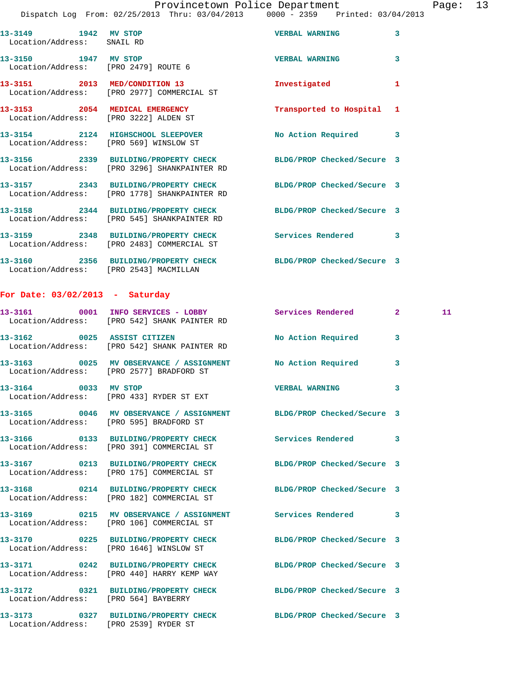## Provincetown Police Department Page: 13

Dispatch Log From: 02/25/2013 Thru: 03/04/2013 0000 - 2359 Printed: 03/04/2013

| 13-3149 1942 MV STOP<br>Location/Address: SNAIL RD |                                                                                                                 | <b>VERBAL WARNING</b>      | $\overline{3}$          |
|----------------------------------------------------|-----------------------------------------------------------------------------------------------------------------|----------------------------|-------------------------|
|                                                    | 13-3150 1947 MV STOP<br>Location/Address: [PRO 2479] ROUTE 6                                                    | <b>VERBAL WARNING</b>      | 3                       |
|                                                    | 13-3151 2013 MED/CONDITION 13<br>Location/Address: [PRO 2977] COMMERCIAL ST                                     | Investigated               | 1                       |
|                                                    | 13-3153 2054 MEDICAL EMERGENCY<br>Location/Address: [PRO 3222] ALDEN ST                                         | Transported to Hospital    | 1                       |
|                                                    | 13-3154 2124 HIGHSCHOOL SLEEPOVER<br>Location/Address: [PRO 569] WINSLOW ST                                     | No Action Required         | $\overline{\mathbf{3}}$ |
|                                                    | 13-3156 2339 BUILDING/PROPERTY CHECK BLDG/PROP Checked/Secure 3<br>Location/Address: [PRO 3296] SHANKPAINTER RD |                            |                         |
|                                                    | 13-3157 2343 BUILDING/PROPERTY CHECK<br>Location/Address: [PRO 1778] SHANKPAINTER RD                            | BLDG/PROP Checked/Secure 3 |                         |
|                                                    | 13-3158 2344 BUILDING/PROPERTY CHECK<br>Location/Address: [PRO 545] SHANKPAINTER RD                             | BLDG/PROP Checked/Secure 3 |                         |
|                                                    | 13-3159 2348 BUILDING/PROPERTY CHECK<br>Location/Address: [PRO 2483] COMMERCIAL ST                              | <b>Services Rendered</b>   | $\overline{3}$          |
|                                                    | 13-3160   2356 BUILDING/PROPERTY CHECK   BLDG/PROP Checked/Secure 3<br>Location/Address: [PRO 2543] MACMILLAN   |                            |                         |
|                                                    |                                                                                                                 |                            |                         |

## **For Date: 03/02/2013 - Saturday**

|                                       | 13-3161 0001 INFO SERVICES - LOBBY<br>Location/Address: [PRO 542] SHANK PAINTER RD                                | Services Rendered     | 2 <sup>1</sup> | 11 |
|---------------------------------------|-------------------------------------------------------------------------------------------------------------------|-----------------------|----------------|----|
|                                       | 13-3162 0025 ASSIST CITIZEN<br>Location/Address: [PRO 542] SHANK PAINTER RD                                       | No Action Required    | $\overline{3}$ |    |
|                                       | 13-3163 0025 MV OBSERVANCE / ASSIGNMENT No Action Required<br>Location/Address: [PRO 2577] BRADFORD ST            |                       | 3              |    |
|                                       | 13-3164 0033 MV STOP<br>Location/Address: [PRO 433] RYDER ST EXT                                                  | <b>VERBAL WARNING</b> | 3              |    |
|                                       | 13-3165 0046 MV OBSERVANCE / ASSIGNMENT BLDG/PROP Checked/Secure 3<br>Location/Address: [PRO 595] BRADFORD ST     |                       |                |    |
|                                       | 13-3166       0133  BUILDING/PROPERTY CHECK        Services Rendered<br>Location/Address: [PRO 391] COMMERCIAL ST |                       | 3              |    |
|                                       | 13-3167 0213 BUILDING/PROPERTY CHECK BLDG/PROP Checked/Secure 3<br>Location/Address: [PRO 175] COMMERCIAL ST      |                       |                |    |
|                                       | 13-3168 0214 BUILDING/PROPERTY CHECK BLDG/PROP Checked/Secure 3<br>Location/Address: [PRO 182] COMMERCIAL ST      |                       |                |    |
|                                       | 13-3169 		 0215 MV OBSERVANCE / ASSIGNMENT Services Rendered 3<br>Location/Address: [PRO 106] COMMERCIAL ST       |                       |                |    |
|                                       | 13-3170 0225 BUILDING/PROPERTY CHECK BLDG/PROP Checked/Secure 3<br>Location/Address: [PRO 1646] WINSLOW ST        |                       |                |    |
|                                       | 13-3171 0242 BUILDING/PROPERTY CHECK BLDG/PROP Checked/Secure 3<br>Location/Address: [PRO 440] HARRY KEMP WAY     |                       |                |    |
| Location/Address: [PRO 564] BAYBERRY  | 13-3172 0321 BUILDING/PROPERTY CHECK BLDG/PROP Checked/Secure 3                                                   |                       |                |    |
| Location/Address: [PRO 2539] RYDER ST | 13-3173 0327 BUILDING/PROPERTY CHECK BLDG/PROP Checked/Secure 3                                                   |                       |                |    |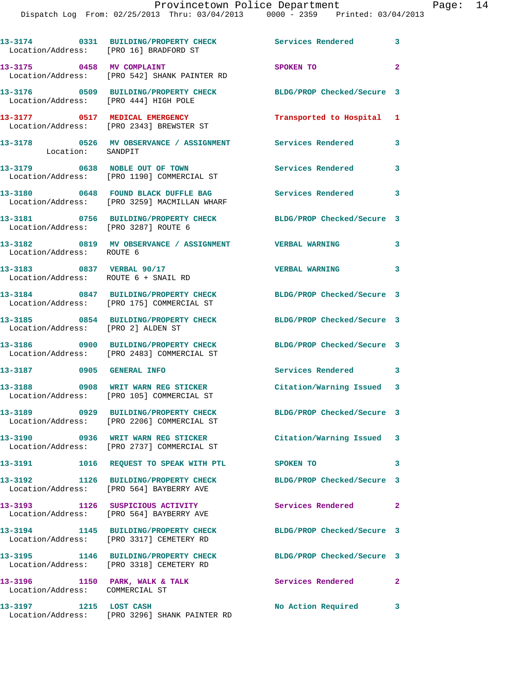## Provincetown Police Department Page: 14

Dispatch Log From: 02/25/2013 Thru: 03/04/2013 0000 - 2359 Printed: 03/04/2013

|                                                                   | 13-3174 0331 BUILDING/PROPERTY CHECK<br>Location/Address: [PRO 16] BRADFORD ST      | Services Rendered 3        |                         |
|-------------------------------------------------------------------|-------------------------------------------------------------------------------------|----------------------------|-------------------------|
| 13-3175 0458 MV COMPLAINT                                         | Location/Address: [PRO 542] SHANK PAINTER RD                                        | SPOKEN TO                  | $\overline{\mathbf{2}}$ |
|                                                                   | 13-3176 0509 BUILDING/PROPERTY CHECK<br>Location/Address: [PRO 444] HIGH POLE       | BLDG/PROP Checked/Secure 3 |                         |
|                                                                   | 13-3177 0517 MEDICAL EMERGENCY<br>Location/Address: [PRO 2343] BREWSTER ST          | Transported to Hospital 1  |                         |
| Location: SANDPIT                                                 | 13-3178 0526 MV OBSERVANCE / ASSIGNMENT Services Rendered                           |                            | 3                       |
|                                                                   | 13-3179 0638 NOBLE OUT OF TOWN<br>Location/Address: [PRO 1190] COMMERCIAL ST        | <b>Services Rendered</b>   | 3                       |
|                                                                   | 13-3180 0648 FOUND BLACK DUFFLE BAG<br>Location/Address: [PRO 3259] MACMILLAN WHARF | Services Rendered 3        |                         |
| Location/Address: [PRO 3287] ROUTE 6                              | 13-3181 0756 BUILDING/PROPERTY CHECK BLDG/PROP Checked/Secure 3                     |                            |                         |
| Location/Address: ROUTE 6                                         | 13-3182 0819 MV OBSERVANCE / ASSIGNMENT WERBAL WARNING                              |                            | 3                       |
| 13-3183 0837 VERBAL 90/17<br>Location/Address: ROUTE 6 + SNAIL RD |                                                                                     | <b>VERBAL WARNING</b>      | 3                       |
|                                                                   | 13-3184 0847 BUILDING/PROPERTY CHECK<br>Location/Address: [PRO 175] COMMERCIAL ST   | BLDG/PROP Checked/Secure 3 |                         |
| Location/Address: [PRO 2] ALDEN ST                                | 13-3185 0854 BUILDING/PROPERTY CHECK                                                | BLDG/PROP Checked/Secure 3 |                         |
|                                                                   | 13-3186 0900 BUILDING/PROPERTY CHECK<br>Location/Address: [PRO 2483] COMMERCIAL ST  | BLDG/PROP Checked/Secure 3 |                         |
| 13-3187 0905 GENERAL INFO                                         |                                                                                     | Services Rendered 3        |                         |
| 13-3188                                                           | 0908 WRIT WARN REG STICKER<br>Location/Address: [PRO 105] COMMERCIAL ST             | Citation/Warning Issued 3  |                         |
|                                                                   | 13-3189 0929 BUILDING/PROPERTY CHECK<br>Location/Address: [PRO 2206] COMMERCIAL ST  | BLDG/PROP Checked/Secure 3 |                         |
|                                                                   | 13-3190 0936 WRIT WARN REG STICKER<br>Location/Address: [PRO 2737] COMMERCIAL ST    | Citation/Warning Issued 3  |                         |
|                                                                   | 13-3191 1016 REQUEST TO SPEAK WITH PTL SPOKEN TO                                    |                            | 3                       |
|                                                                   | 13-3192 1126 BUILDING/PROPERTY CHECK<br>Location/Address: [PRO 564] BAYBERRY AVE    | BLDG/PROP Checked/Secure 3 |                         |
|                                                                   | 13-3193 1126 SUSPICIOUS ACTIVITY<br>Location/Address: [PRO 564] BAYBERRY AVE        | Services Rendered 2        |                         |
|                                                                   | 13-3194 1145 BUILDING/PROPERTY CHECK<br>Location/Address: [PRO 3317] CEMETERY RD    | BLDG/PROP Checked/Secure 3 |                         |
|                                                                   | 13-3195 1146 BUILDING/PROPERTY CHECK<br>Location/Address: [PRO 3318] CEMETERY RD    | BLDG/PROP Checked/Secure 3 |                         |
| 13-3196 1150 PARK, WALK & TALK<br>Location/Address: COMMERCIAL ST |                                                                                     | Services Rendered          | $\mathbf{2}$            |
| 13-3197 1215 LOST CASH                                            | Location/Address: [PRO 3296] SHANK PAINTER RD                                       | No Action Required         | 3                       |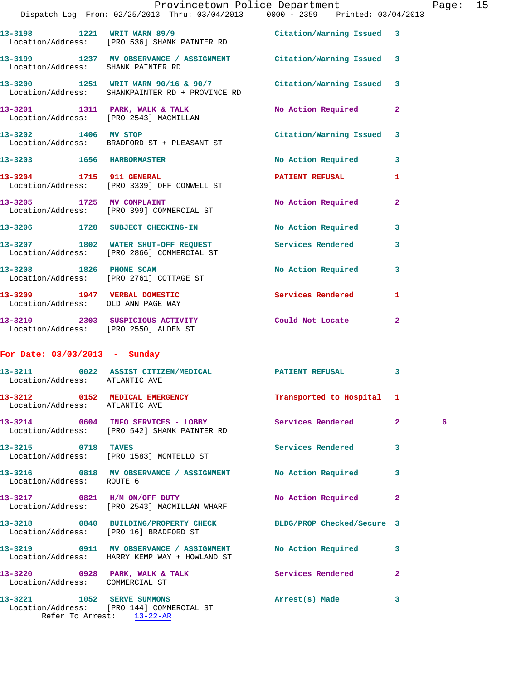|                                        | Dispatch Log From: 02/25/2013 Thru: 03/04/2013 0000 - 2359 Printed: 03/04/2013                                   | Provincetown Police Department Page: 15 |              |   |  |
|----------------------------------------|------------------------------------------------------------------------------------------------------------------|-----------------------------------------|--------------|---|--|
|                                        | 13-3198 1221 WRIT WARN 89/9 Citation/Warning Issued 3<br>Location/Address: [PRO 536] SHANK PAINTER RD            |                                         |              |   |  |
| Location/Address: SHANK PAINTER RD     | 13-3199 1237 MV OBSERVANCE / ASSIGNMENT Citation/Warning Issued 3                                                |                                         |              |   |  |
|                                        | 13-3200 1251 WRIT WARN 90/16 & 90/7 Citation/Warning Issued 3<br>Location/Address: SHANKPAINTER RD + PROVINCE RD |                                         |              |   |  |
|                                        | 13-3201 1311 PARK, WALK & TALK NO Action Required 2<br>Location/Address: [PRO 2543] MACMILLAN                    |                                         |              |   |  |
|                                        | 13-3202 1406 MV STOP<br>Location/Address: BRADFORD ST + PLEASANT ST                                              | Citation/Warning Issued 3               |              |   |  |
|                                        | 13-3203 1656 HARBORMASTER                                                                                        | No Action Required 3                    |              |   |  |
|                                        | 13-3204 1715 911 GENERAL<br>Location/Address: [PRO 3339] OFF CONWELL ST                                          | <b>PATIENT REFUSAL 1</b>                |              |   |  |
|                                        | 13-3205 1725 MV COMPLAINT<br>Location/Address: [PRO 399] COMMERCIAL ST                                           | No Action Required 2                    |              |   |  |
|                                        | 13-3206 1728 SUBJECT CHECKING-IN No Action Required 3                                                            |                                         |              |   |  |
|                                        | 13-3207 1802 WATER SHUT-OFF REQUEST Services Rendered<br>Location/Address: [PRO 2866] COMMERCIAL ST              |                                         | $\mathbf{3}$ |   |  |
|                                        | 13-3208 1826 PHONE SCAM<br>Location/Address: [PRO 2761] COTTAGE ST                                               | No Action Required 3                    |              |   |  |
|                                        | 13-3209 1947 VERBAL DOMESTIC Services Rendered Location/Address: OLD ANN PAGE WAY                                |                                         | 1            |   |  |
| Location/Address: [PRO 2550] ALDEN ST  | 13-3210 2303 SUSPICIOUS ACTIVITY Could Not Locate 2                                                              |                                         |              |   |  |
| For Date: $03/03/2013$ - Sunday        |                                                                                                                  |                                         |              |   |  |
| Location/Address: ATLANTIC AVE         | 13-3211 0022 ASSIST CITIZEN/MEDICAL PATIENT REFUSAL                                                              |                                         | 3            |   |  |
| Location/Address: ATLANTIC AVE         | 13-3212 0152 MEDICAL EMERGENCY                                                                                   | Transported to Hospital 1               |              |   |  |
|                                        | 13-3214 0604 INFO SERVICES - LOBBY Services Rendered 2<br>Location/Address: [PRO 542] SHANK PAINTER RD           |                                         |              | 6 |  |
| 13-3215 0718 TAVES                     | Location/Address: [PRO 1583] MONTELLO ST                                                                         | Services Rendered 3                     |              |   |  |
| Location/Address: ROUTE 6              | 13-3216 0818 MV OBSERVANCE / ASSIGNMENT No Action Required                                                       |                                         | 3            |   |  |
|                                        | 13-3217 0821 H/M ON/OFF DUTY<br>Location/Address: [PRO 2543] MACMILLAN WHARF                                     | No Action Required 2                    |              |   |  |
| Location/Address: [PRO 16] BRADFORD ST | 13-3218 0840 BUILDING/PROPERTY CHECK BLDG/PROP Checked/Secure 3                                                  |                                         |              |   |  |
|                                        | 13-3219 0911 MV OBSERVANCE / ASSIGNMENT No Action Required 3<br>Location/Address: HARRY KEMP WAY + HOWLAND ST    |                                         |              |   |  |
|                                        | 13-3220 0928 PARK, WALK & TALK Services Rendered Location/Address: COMMERCIAL ST                                 |                                         | $\mathbf{2}$ |   |  |
|                                        | 13-3221 1052 SERVE SUMMONS<br>Location/Address: [PRO 144] COMMERCIAL ST<br>Refer To Arrest: 13-22-AR             | Arrest(s) Made                          | 3            |   |  |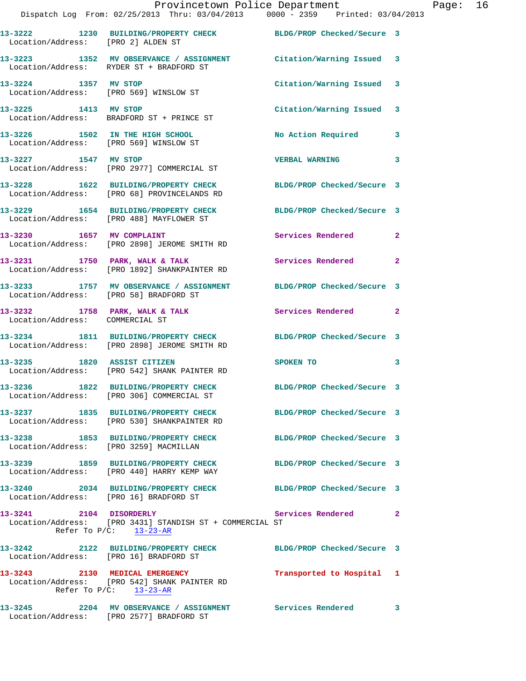|                                        | Provincetown Police Department Page: 16<br>Dispatch Log From: 02/25/2013 Thru: 03/04/2013 0000 - 2359 Printed: 03/04/2013          |                                                                                                                                                                                                                                |              |  |
|----------------------------------------|------------------------------------------------------------------------------------------------------------------------------------|--------------------------------------------------------------------------------------------------------------------------------------------------------------------------------------------------------------------------------|--------------|--|
| Location/Address: [PRO 2] ALDEN ST     | 13-3222 1230 BUILDING/PROPERTY CHECK BLDG/PROP Checked/Secure 3                                                                    |                                                                                                                                                                                                                                |              |  |
|                                        | 13-3223 1352 MV OBSERVANCE / ASSIGNMENT Citation/Warning Issued 3<br>Location/Address: RYDER ST + BRADFORD ST                      |                                                                                                                                                                                                                                |              |  |
|                                        | 13-3224 1357 MV STOP<br>Location/Address: [PRO 569] WINSLOW ST                                                                     | Citation/Warning Issued 3                                                                                                                                                                                                      |              |  |
| 13-3225 1413 MV STOP                   | Location/Address: BRADFORD ST + PRINCE ST                                                                                          | Citation/Warning Issued 3                                                                                                                                                                                                      |              |  |
|                                        | 13-3226 1502 IN THE HIGH SCHOOL<br>Location/Address: [PRO 569] WINSLOW ST                                                          | No Action Required 3                                                                                                                                                                                                           |              |  |
|                                        | 13-3227 1547 MV STOP<br>Location/Address: [PRO 2977] COMMERCIAL ST                                                                 | <b>VERBAL WARNING</b>                                                                                                                                                                                                          | 3            |  |
|                                        | 13-3228 1622 BUILDING/PROPERTY CHECK BLDG/PROP Checked/Secure 3<br>Location/Address: [PRO 68] PROVINCELANDS RD                     |                                                                                                                                                                                                                                |              |  |
|                                        | 13-3229 1654 BUILDING/PROPERTY CHECK BLDG/PROP Checked/Secure 3<br>Location/Address: [PRO 488] MAYFLOWER ST                        |                                                                                                                                                                                                                                |              |  |
|                                        | 13-3230 1657 MV COMPLAINT<br>Location/Address: [PRO 2898] JEROME SMITH RD                                                          | Services Rendered 2                                                                                                                                                                                                            |              |  |
|                                        | 13-3231 1750 PARK, WALK & TALK 1999 Services Rendered<br>Location/Address: [PRO 1892] SHANKPAINTER RD                              |                                                                                                                                                                                                                                | $\mathbf{2}$ |  |
|                                        | 13-3233 1757 MV OBSERVANCE / ASSIGNMENT BLDG/PROP Checked/Secure 3<br>Location/Address: [PRO 58] BRADFORD ST                       |                                                                                                                                                                                                                                |              |  |
| Location/Address: COMMERCIAL ST        | 13-3232 1758 PARK, WALK & TALK 1988 Services Rendered                                                                              |                                                                                                                                                                                                                                | $\mathbf{2}$ |  |
|                                        | 13-3234 1811 BUILDING/PROPERTY CHECK BLDG/PROP Checked/Secure 3<br>Location/Address: [PRO 2898] JEROME SMITH RD                    |                                                                                                                                                                                                                                |              |  |
|                                        | 13-3235 1820 ASSIST CITIZEN<br>Location/Address: [PRO 542] SHANK PAINTER RD                                                        | SPOKEN TO THE SPOKEN OF THE SPOKEN OF THE SPOKEN OF THE SPOKEN OF THE SPOKEN OF THE SPOKEN OF THE SPOKEN OF THE SPOKEN OF THE SPOKEN OF THE SPOKEN OF THE SPOKEN OF THE SPOKEN OF THE SPOKEN OF THE SPOKEN OF THE SPOKEN OF TH | 3            |  |
|                                        | 13-3236 1822 BUILDING/PROPERTY CHECK<br>Location/Address: [PRO 306] COMMERCIAL ST                                                  | BLDG/PROP Checked/Secure 3                                                                                                                                                                                                     |              |  |
|                                        | 13-3237 1835 BUILDING/PROPERTY CHECK BLDG/PROP Checked/Secure 3<br>Location/Address: [PRO 530] SHANKPAINTER RD                     |                                                                                                                                                                                                                                |              |  |
| Location/Address: [PRO 3259] MACMILLAN | 13-3238 1853 BUILDING/PROPERTY CHECK                                                                                               | BLDG/PROP Checked/Secure 3                                                                                                                                                                                                     |              |  |
|                                        | 13-3239 1859 BUILDING/PROPERTY CHECK BLDG/PROP Checked/Secure 3<br>Location/Address: [PRO 440] HARRY KEMP WAY                      |                                                                                                                                                                                                                                |              |  |
| Location/Address: [PRO 16] BRADFORD ST | 13-3240 2034 BUILDING/PROPERTY CHECK BLDG/PROP Checked/Secure 3                                                                    |                                                                                                                                                                                                                                |              |  |
|                                        | 13-3241 2104 DISORDERLY Services Rendered<br>Location/Address: [PRO 3431] STANDISH ST + COMMERCIAL ST<br>Refer To $P/C$ : 13-23-AR |                                                                                                                                                                                                                                | $\mathbf{2}$ |  |
|                                        | 13-3242 2122 BUILDING/PROPERTY CHECK BLDG/PROP Checked/Secure 3<br>Location/Address: [PRO 16] BRADFORD ST                          |                                                                                                                                                                                                                                |              |  |
|                                        | 13-3243 2130 MEDICAL EMERGENCY<br>Location/Address: [PRO 542] SHANK PAINTER RD<br>Refer To $P/C$ : 13-23-AR                        | Transported to Hospital 1                                                                                                                                                                                                      |              |  |
|                                        | 13-3245 2204 MV OBSERVANCE / ASSIGNMENT Services Rendered 3                                                                        |                                                                                                                                                                                                                                |              |  |

Location/Address: [PRO 2577] BRADFORD ST